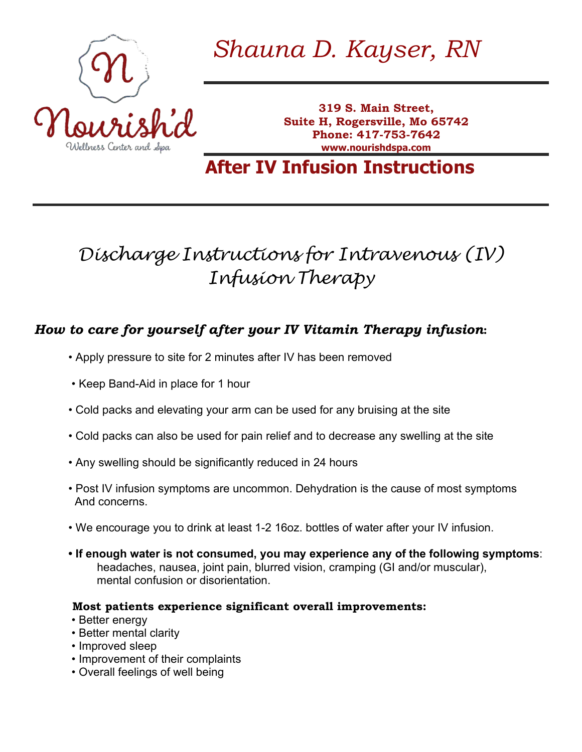

*Shauna D. Kayser, RN*

**319 S. Main Street, Suite H, Rogersville, Mo 65742 Phone: 417-753-7642 www.nourishdspa.com**

# **After IV Infusion Instructions**

# *Discharge Instructions for Intravenous (IV) Infusion Therapy*

## *How to care for yourself after your IV Vitamin Therapy infusion***:**

- Apply pressure to site for 2 minutes after IV has been removed
- Keep Band-Aid in place for 1 hour
- Cold packs and elevating your arm can be used for any bruising at the site
- Cold packs can also be used for pain relief and to decrease any swelling at the site
- Any swelling should be significantly reduced in 24 hours
- Post IV infusion symptoms are uncommon. Dehydration is the cause of most symptoms And concerns.
- We encourage you to drink at least 1-2 16oz. bottles of water after your IV infusion.
- **If enough water is not consumed, you may experience any of the following symptoms**: headaches, nausea, joint pain, blurred vision, cramping (GI and/or muscular), mental confusion or disorientation.

#### **Most patients experience significant overall improvements:**

- Better energy
- Better mental clarity
- Improved sleep
- Improvement of their complaints
- Overall feelings of well being